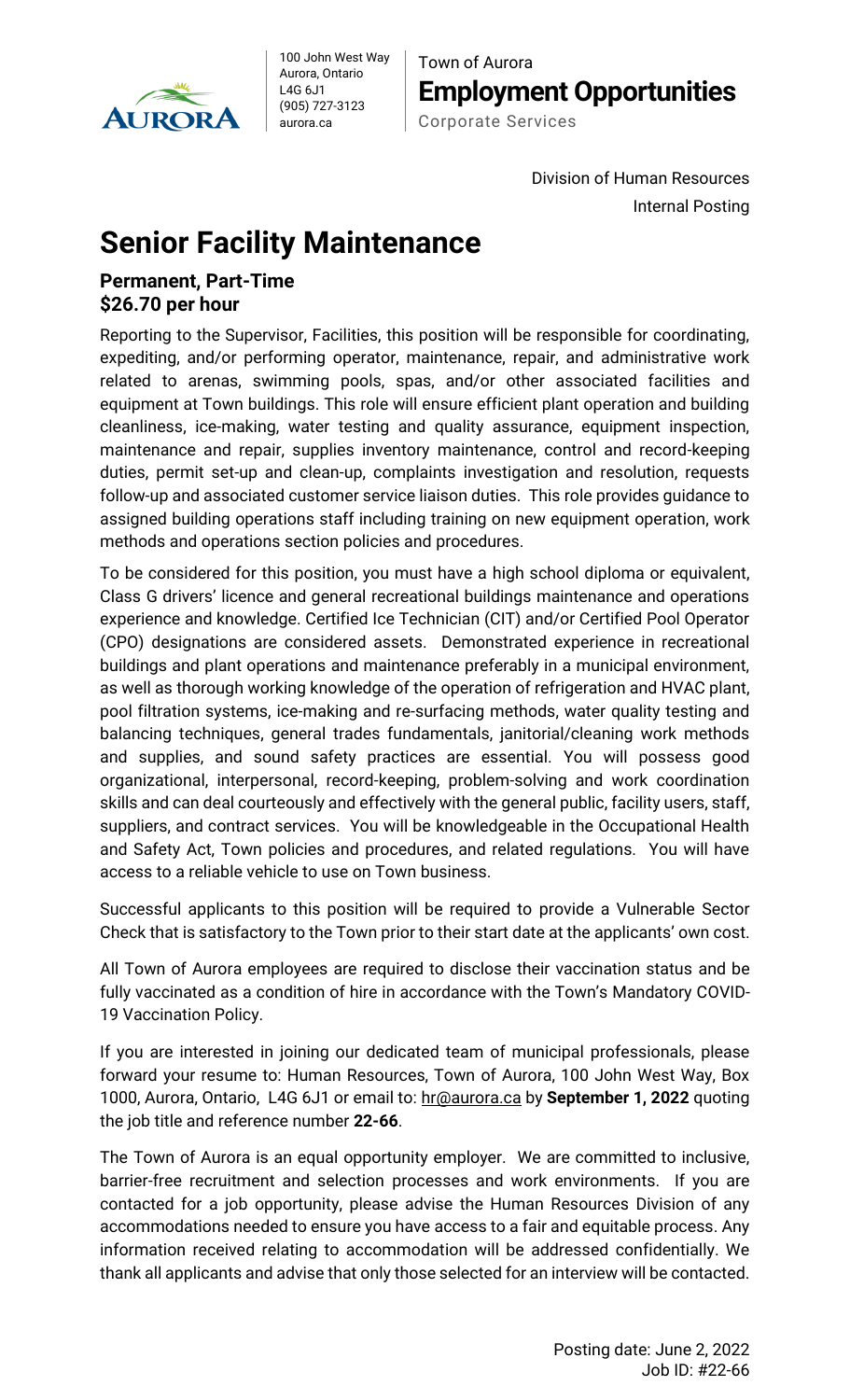

100 John West Way Aurora, Ontario L4G 6J1 (905) 727-3123 aurora.ca

Town of Aurora **Employment Opportunities** Corporate Services

> Division of Human Resources Internal Posting

## **Senior Facility Maintenance**

## **Permanent, Part-Time \$26.70 per hour**

Reporting to the Supervisor, Facilities, this position will be responsible for coordinating, expediting, and/or performing operator, maintenance, repair, and administrative work related to arenas, swimming pools, spas, and/or other associated facilities and equipment at Town buildings. This role will ensure efficient plant operation and building cleanliness, ice-making, water testing and quality assurance, equipment inspection, maintenance and repair, supplies inventory maintenance, control and record-keeping duties, permit set-up and clean-up, complaints investigation and resolution, requests follow-up and associated customer service liaison duties. This role provides guidance to assigned building operations staff including training on new equipment operation, work methods and operations section policies and procedures.

To be considered for this position, you must have a high school diploma or equivalent, Class G drivers' licence and general recreational buildings maintenance and operations experience and knowledge. Certified Ice Technician (CIT) and/or Certified Pool Operator (CPO) designations are considered assets. Demonstrated experience in recreational buildings and plant operations and maintenance preferably in a municipal environment, as well as thorough working knowledge of the operation of refrigeration and HVAC plant, pool filtration systems, ice-making and re-surfacing methods, water quality testing and balancing techniques, general trades fundamentals, janitorial/cleaning work methods and supplies, and sound safety practices are essential. You will possess good organizational, interpersonal, record-keeping, problem-solving and work coordination skills and can deal courteously and effectively with the general public, facility users, staff, suppliers, and contract services. You will be knowledgeable in the Occupational Health and Safety Act, Town policies and procedures, and related regulations. You will have access to a reliable vehicle to use on Town business.

Successful applicants to this position will be required to provide a Vulnerable Sector Check that is satisfactory to the Town prior to their start date at the applicants' own cost.

All Town of Aurora employees are required to disclose their vaccination status and be fully vaccinated as a condition of hire in accordance with the Town's Mandatory COVID-19 Vaccination Policy.

If you are interested in joining our dedicated team of municipal professionals, please forward your resume to: Human Resources, Town of Aurora, 100 John West Way, Box 1000, Aurora, Ontario, L4G 6J1 or email to: [hr@aurora.ca](mailto:hr@aurora.ca) by **September 1, 2022** quoting the job title and reference number **22-66**.

The Town of Aurora is an equal opportunity employer. We are committed to inclusive, barrier-free recruitment and selection processes and work environments. If you are contacted for a job opportunity, please advise the Human Resources Division of any accommodations needed to ensure you have access to a fair and equitable process. Any information received relating to accommodation will be addressed confidentially. We thank all applicants and advise that only those selected for an interview will be contacted.